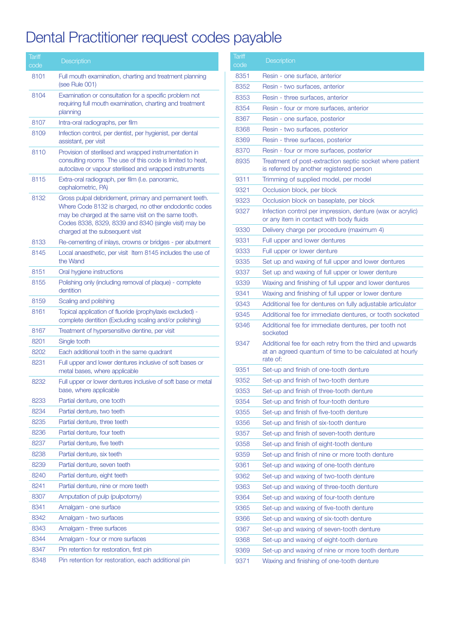## Dental Practitioner request codes payable

| Tariff<br>code | Description                                                                                                                                                                                                                                                        |
|----------------|--------------------------------------------------------------------------------------------------------------------------------------------------------------------------------------------------------------------------------------------------------------------|
| 8101           | Full mouth examination, charting and treatment planning<br>(see Rule 001)                                                                                                                                                                                          |
| 8104           | Examination or consultation for a specific problem not<br>requiring full mouth examination, charting and treatment<br>planning                                                                                                                                     |
| 8107           | Intra-oral radiographs, per film                                                                                                                                                                                                                                   |
| 8109           | Infection control, per dentist, per hygienist, per dental<br>assistant, per visit                                                                                                                                                                                  |
| 8110           | Provision of sterilised and wrapped instrumentation in<br>consulting rooms The use of this code is limited to heat,<br>autoclave or vapour sterilised and wrapped instruments                                                                                      |
| 8115           | Extra-oral radiograph, per film (I.e. panoramic,<br>cephalometric, PA)                                                                                                                                                                                             |
| 8132           | Gross pulpal debridement, primary and permanent teeth.<br>Where Code 8132 is charged, no other endodontic codes<br>may be charged at the same visit on the same tooth.<br>Codes 8338, 8329, 8339 and 8340 (single visit) may be<br>charged at the subsequent visit |
| 8133           | Re-cementing of inlays, crowns or bridges - per abutment                                                                                                                                                                                                           |
| 8145           | Local anaesthetic, per visit Item 8145 includes the use of<br>the Wand                                                                                                                                                                                             |
| 8151           | Oral hygiene instructions                                                                                                                                                                                                                                          |
| 8155           | Polishing only (including removal of plaque) - complete<br>dentition                                                                                                                                                                                               |
| 8159           | Scaling and polishing                                                                                                                                                                                                                                              |
| 8161           | Topical application of fluoride (prophylaxis excluded) -<br>complete dentition (Excluding scaling and/or polishing)                                                                                                                                                |
| 8167           | Treatment of hypersensitive dentine, per visit                                                                                                                                                                                                                     |
| 8201           | Single tooth                                                                                                                                                                                                                                                       |
| 8202           | Each additional tooth in the same quadrant                                                                                                                                                                                                                         |
| 8231           | Full upper and lower dentures inclusive of soft bases or<br>metal bases, where applicable                                                                                                                                                                          |
| 8232           | Full upper or lower dentures inclusive of soft base or metal<br>base, where applicable                                                                                                                                                                             |
| 8233           | Partial denture, one tooth                                                                                                                                                                                                                                         |
| 8234           | Partial denture, two teeth                                                                                                                                                                                                                                         |
| 8235           | Partial denture, three teeth                                                                                                                                                                                                                                       |
| 8236           | Partial denture, four teeth                                                                                                                                                                                                                                        |
| 8237           | Partial denture, five teeth                                                                                                                                                                                                                                        |
| 8238           | Partial denture, six teeth                                                                                                                                                                                                                                         |
| 8239           | Partial denture, seven teeth                                                                                                                                                                                                                                       |
| 8240           | Partial denture, eight teeth                                                                                                                                                                                                                                       |
| 8241           | Partial denture, nine or more teeth                                                                                                                                                                                                                                |
| 8307           | Amputation of pulp (pulpotomy)                                                                                                                                                                                                                                     |
| 8341           | Amalgam - one surface                                                                                                                                                                                                                                              |
| 8342           | Amalgam - two surfaces                                                                                                                                                                                                                                             |
| 8343           | Amalgam - three surfaces                                                                                                                                                                                                                                           |
| 8344           | Amalgam - four or more surfaces                                                                                                                                                                                                                                    |
| 8347           | Pin retention for restoration, first pin                                                                                                                                                                                                                           |
| 8348           | Pin retention for restoration, each additional pin                                                                                                                                                                                                                 |

| Tariff<br>code | Description                                                                                                                     |
|----------------|---------------------------------------------------------------------------------------------------------------------------------|
| 8351           | Resin - one surface, anterior                                                                                                   |
| 8352           | Resin - two surfaces, anterior                                                                                                  |
| 8353           | Resin - three surfaces, anterior                                                                                                |
| 8354           | Resin - four or more surfaces, anterior                                                                                         |
| 8367           | Resin - one surface, posterior                                                                                                  |
| 8368           | Resin - two surfaces, posterior                                                                                                 |
| 8369           | Resin - three surfaces, posterior                                                                                               |
| 8370           | Resin - four or more surfaces, posterior                                                                                        |
| 8935           | Treatment of post-extraction septic socket where patient<br>is referred by another registered person                            |
| 9311           | Trimming of supplied model, per model                                                                                           |
| 9321           | Occlusion block, per block                                                                                                      |
| 9323           | Occlusion block on baseplate, per block                                                                                         |
| 9327           | Infection control per impression, denture (wax or acrylic)<br>or any item in contact with body fluids                           |
| 9330           | Delivery charge per procedure (maximum 4)                                                                                       |
| 9331           | Full upper and lower dentures                                                                                                   |
| 9333           | Full upper or lower denture                                                                                                     |
| 9335           | Set up and waxing of full upper and lower dentures                                                                              |
| 9337           | Set up and waxing of full upper or lower denture                                                                                |
| 9339           | Waxing and finishing of full upper and lower dentures                                                                           |
| 9341           | Waxing and finishing of full upper or lower denture                                                                             |
| 9343           | Additional fee for dentures on fully adjustable articulator                                                                     |
| 9345           | Additional fee for immediate dentures, or tooth socketed                                                                        |
| 9346           | Additional fee for immediate dentures, per tooth not<br>socketed                                                                |
| 9347           | Additional fee for each retry from the third and upwards<br>at an agreed quantum of time to be calculated at hourly<br>rate of: |
| 9351           | Set-up and finish of one-tooth denture                                                                                          |
| 9352           | Set-up and finish of two-tooth denture                                                                                          |
| 9353           | Set-up and finish of three-tooth denture                                                                                        |
| 9354           | Set-up and finish of four-tooth denture                                                                                         |
| 9355           | Set-up and finish of five-tooth denture                                                                                         |
| 9356           | Set-up and finish of six-tooth denture                                                                                          |
| 9357           | Set-up and finish of seven-tooth denture                                                                                        |
| 9358           | Set-up and finish of eight-tooth denture                                                                                        |
| 9359           | Set-up and finish of nine or more tooth denture                                                                                 |
| 9361           | Set-up and waxing of one-tooth denture                                                                                          |
| 9362           | Set-up and waxing of two-tooth denture                                                                                          |
| 9363           | Set-up and waxing of three-tooth denture                                                                                        |
| 9364           | Set-up and waxing of four-tooth denture                                                                                         |
| 9365           | Set-up and waxing of five-tooth denture                                                                                         |
| 9366           | Set-up and waxing of six-tooth denture                                                                                          |
| 9367           | Set-up and waxing of seven-tooth denture                                                                                        |
| 9368           | Set-up and waxing of eight-tooth denture                                                                                        |
| 9369           | Set-up and waxing of nine or more tooth denture                                                                                 |
| 9371           | Waxing and finishing of one-tooth denture                                                                                       |